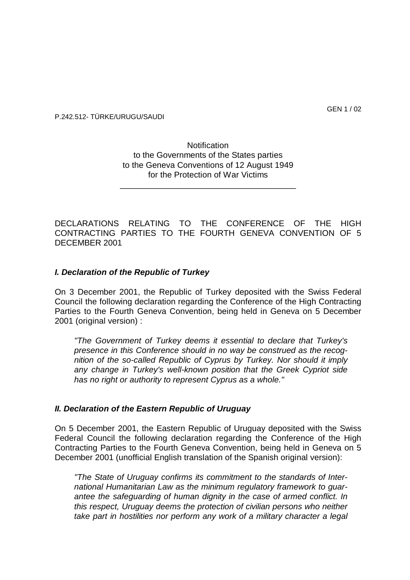## P.242.512- TÜRKE/URUGU/SAUDI

# **Notification** to the Governments of the States parties to the Geneva Conventions of 12 August 1949 for the Protection of War Victims

\_\_\_\_\_\_\_\_\_\_\_\_\_\_\_\_\_\_\_\_\_\_\_\_\_\_\_\_\_\_\_\_\_\_\_\_\_\_

DECLARATIONS RELATING TO THE CONFERENCE OF THE HIGH CONTRACTING PARTIES TO THE FOURTH GENEVA CONVENTION OF 5 DECEMBER 2001

#### *I. Declaration of the Republic of Turkey*

On 3 December 2001, the Republic of Turkey deposited with the Swiss Federal Council the following declaration regarding the Conference of the High Contracting Parties to the Fourth Geneva Convention, being held in Geneva on 5 December 2001 (original version) :

*"The Government of Turkey deems it essential to declare that Turkey's presence in this Conference should in no way be construed as the recognition of the so-called Republic of Cyprus by Turkey. Nor should it imply any change in Turkey's well-known position that the Greek Cypriot side has no right or authority to represent Cyprus as a whole."* 

#### *II. Declaration of the Eastern Republic of Uruguay*

On 5 December 2001, the Eastern Republic of Uruguay deposited with the Swiss Federal Council the following declaration regarding the Conference of the High Contracting Parties to the Fourth Geneva Convention, being held in Geneva on 5 December 2001 (unofficial English translation of the Spanish original version):

*"The State of Uruguay confirms its commitment to the standards of International Humanitarian Law as the minimum regulatory framework to guarantee the safeguarding of human dignity in the case of armed conflict. In this respect, Uruguay deems the protection of civilian persons who neither take part in hostilities nor perform any work of a military character a legal*